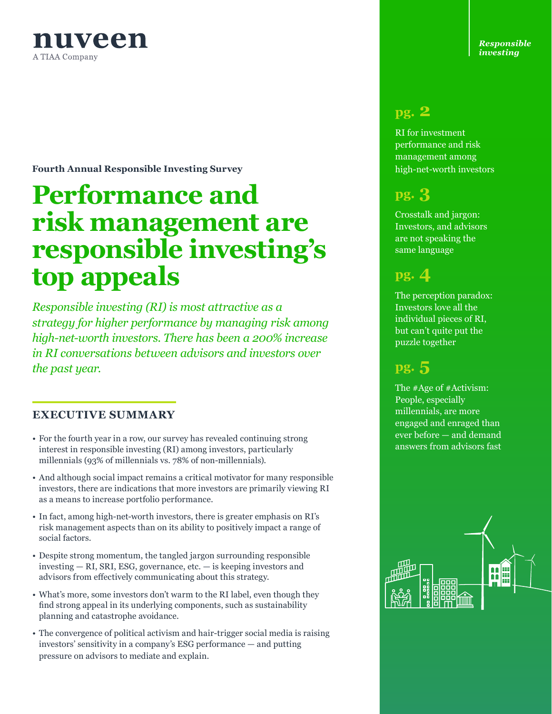

**Fourth Annual Responsible Investing Survey**

# **Performance and risk management are responsible investing's top appeals**

*Responsible investing (RI) is most attractive as a strategy for higher performance by managing risk among high-net-worth investors. There has been a 200% increase in RI conversations between advisors and investors over the past year.* 

#### **EXECUTIVE SUMMARY**

- For the fourth year in a row, our survey has revealed continuing strong interest in responsible investing (RI) among investors, particularly millennials (93% of millennials vs. 78% of non-millennials).
- And although social impact remains a critical motivator for many responsible investors, there are indications that more investors are primarily viewing RI as a means to increase portfolio performance.
- In fact, among high-net-worth investors, there is greater emphasis on RI's risk management aspects than on its ability to positively impact a range of social factors.
- Despite strong momentum, the tangled jargon surrounding responsible investing — RI, SRI, ESG, governance, etc. — is keeping investors and advisors from effectively communicating about this strategy.
- What's more, some investors don't warm to the RI label, even though they find strong appeal in its underlying components, such as sustainability planning and catastrophe avoidance.
- The convergence of political activism and hair-trigger social media is raising investors' sensitivity in a company's ESG performance — and putting pressure on advisors to mediate and explain.

*Responsible investing*

### **pg. 2**

RI for investment performance and risk management among high-net-worth investors

## **pg. 3**

Crosstalk and jargon: Investors, and advisors are not speaking the same language

# **pg. 4**

The perception paradox: Investors love all the individual pieces of RI, but can't quite put the puzzle together

# **pg. 5**

The #Age of #Activism: People, especially millennials, are more engaged and enraged than ever before — and demand answers from advisors fast

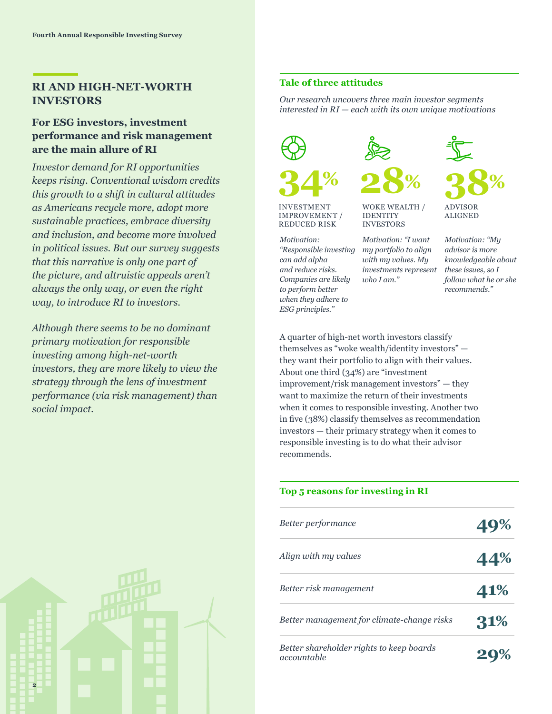#### **RI AND HIGH-NET-WORTH INVESTORS**

#### **For ESG investors, investment performance and risk management are the main allure of RI**

*Investor demand for RI opportunities keeps rising. Conventional wisdom credits this growth to a shift in cultural attitudes as Americans recycle more, adopt more sustainable practices, embrace diversity and inclusion, and become more involved in political issues. But our survey suggests that this narrative is only one part of the picture, and altruistic appeals aren't always the only way, or even the right way, to introduce RI to investors.*

*Although there seems to be no dominant primary motivation for responsible investing among high-net-worth investors, they are more likely to view the strategy through the lens of investment performance (via risk management) than social impact.*

#### **Tale of three attitudes**

*Our research uncovers three main investor segments interested in RI — each with its own unique motivations*





INVESTMENT IMPROVEMENT / REDUCED RISK

*Motivation: "Responsible investing my portfolio to align can add alpha and reduce risks. Companies are likely to perform better when they adhere to ESG principles."*



*Motivation: "I want* 

WOKE WEALTH / IDENTITY INVESTORS

*with my values. My investments represent* 

*who I am."*



ALIGNED

*Motivation: "My advisor is more knowledgeable about these issues, so I follow what he or she recommends."*

A quarter of high-net worth investors classify themselves as "woke wealth/identity investors" they want their portfolio to align with their values. About one third (34%) are "investment improvement/risk management investors" — they want to maximize the return of their investments when it comes to responsible investing. Another two in five (38%) classify themselves as recommendation investors — their primary strategy when it comes to responsible investing is to do what their advisor recommends.

#### **Top 5 reasons for investing in RI**

| Better performance                                      | 49% |
|---------------------------------------------------------|-----|
| Align with my values                                    | 44% |
| Better risk management                                  | 41% |
| Better management for climate-change risks              | 31% |
| Better shareholder rights to keep boards<br>accountable |     |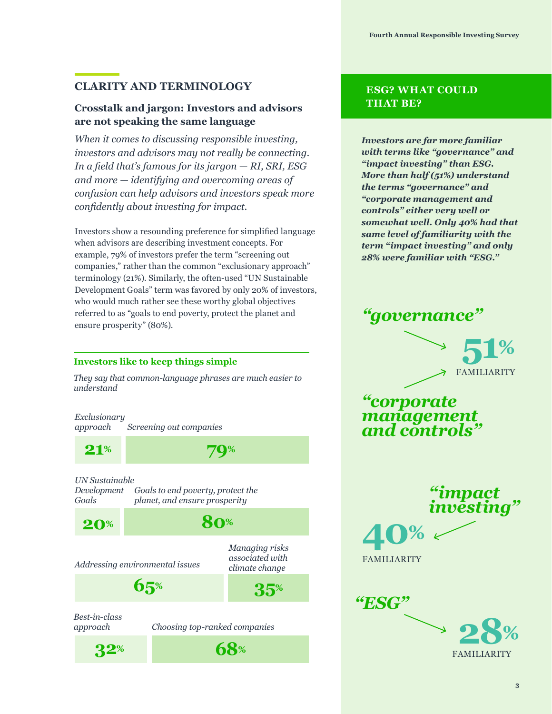#### **CLARITY AND TERMINOLOGY**

#### **Crosstalk and jargon: Investors and advisors are not speaking the same language**

*When it comes to discussing responsible investing, investors and advisors may not really be connecting. In a field that's famous for its jargon — RI, SRI, ESG and more — identifying and overcoming areas of confusion can help advisors and investors speak more confidently about investing for impact.*

Investors show a resounding preference for simplified language when advisors are describing investment concepts. For example, 79% of investors prefer the term "screening out companies," rather than the common "exclusionary approach" terminology (21%). Similarly, the often-used "UN Sustainable Development Goals" term was favored by only 20% of investors, who would much rather see these worthy global objectives referred to as "goals to end poverty, protect the planet and ensure prosperity" (80%).

#### **Investors like to keep things simple**

*They say that common-language phrases are much easier to understand*

*Exclusionary approach Screening out companies*

**21% 79%**

**20% 80%**

**32% 68%**

*UN Sustainable* 

*Goals*

*Development Goals to end poverty, protect the planet, and ensure prosperity*

*Addressing environmental issues*

*Managing risks associated with climate change*

*Best-in-class approach*

*Choosing top-ranked companies*

**65% 35%**

#### **ESG? WHAT COULD THAT BE?**

*Investors are far more familiar with terms like "governance" and "impact investing" than ESG. More than half (51%) understand the terms "governance" and "corporate management and controls" either very well or somewhat well. Only 40% had that same level of familiarity with the term "impact investing" and only 28% were familiar with "ESG."*





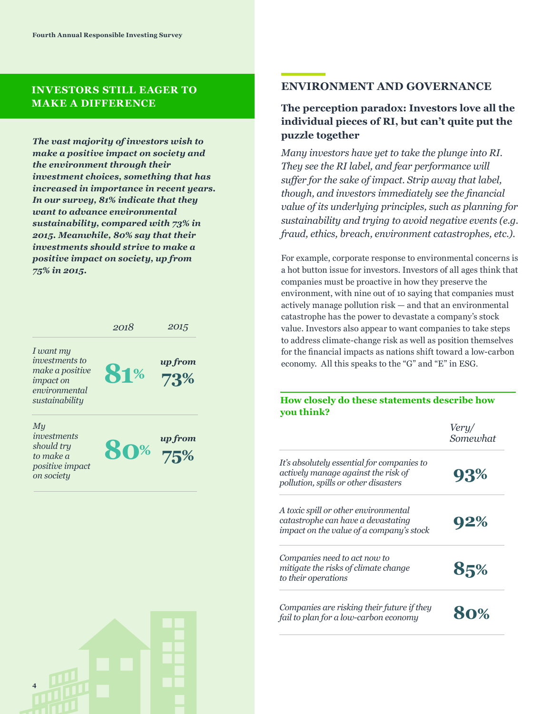#### **INVESTORS STILL EAGER TO MAKE A DIFFERENCE**

*The vast majority of investors wish to make a positive impact on society and the environment through their investment choices, something that has increased in importance in recent years. In our survey, 81% indicate that they want to advance environmental sustainability, compared with 73% in 2015. Meanwhile, 80% say that their investments should strive to make a positive impact on society, up from 75% in 2015.*



#### **ENVIRONMENT AND GOVERNANCE**

#### **The perception paradox: Investors love all the individual pieces of RI, but can't quite put the puzzle together**

*Many investors have yet to take the plunge into RI. They see the RI label, and fear performance will suffer for the sake of impact. Strip away that label, though, and investors immediately see the financial value of its underlying principles, such as planning for sustainability and trying to avoid negative events (e.g. fraud, ethics, breach, environment catastrophes, etc.).* 

For example, corporate response to environmental concerns is a hot button issue for investors. Investors of all ages think that companies must be proactive in how they preserve the environment, with nine out of 10 saying that companies must actively manage pollution risk — and that an environmental catastrophe has the power to devastate a company's stock value. Investors also appear to want companies to take steps to address climate-change risk as well as position themselves for the financial impacts as nations shift toward a low-carbon economy. All this speaks to the "G" and "E" in ESG.

**How closely do these statements describe how you think?**

|                                                                                                                           | <i>Very/</i><br>Somewhat |  |  |
|---------------------------------------------------------------------------------------------------------------------------|--------------------------|--|--|
| It's absolutely essential for companies to<br>actively manage against the risk of<br>pollution, spills or other disasters | 93%                      |  |  |
| A toxic spill or other environmental<br>catastrophe can have a devastating<br>impact on the value of a company's stock    | 92%                      |  |  |
| Companies need to act now to<br>mitigate the risks of climate change<br>to their operations                               | 85%                      |  |  |
| Companies are risking their future if they<br>fail to plan for a low-carbon economy                                       |                          |  |  |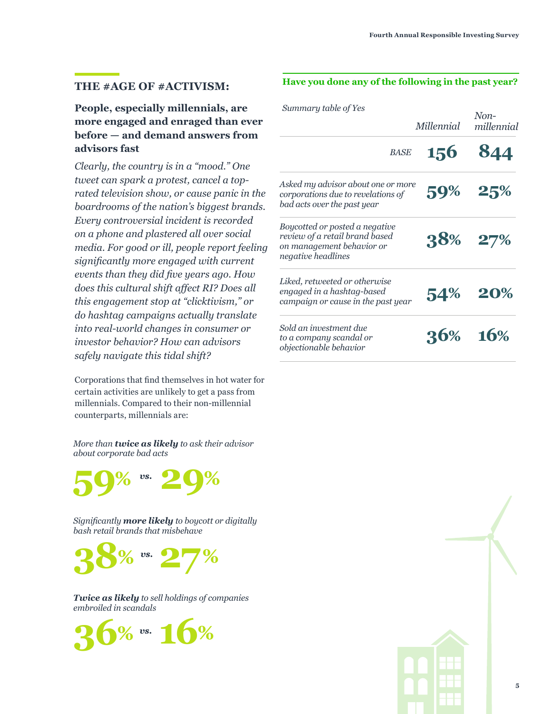#### **THE #AGE OF #ACTIVISM:**

#### **People, especially millennials, are more engaged and enraged than ever before — and demand answers from advisors fast**

*Clearly, the country is in a "mood." One tweet can spark a protest, cancel a toprated television show, or cause panic in the boardrooms of the nation's biggest brands. Every controversial incident is recorded on a phone and plastered all over social media. For good or ill, people report feeling significantly more engaged with current events than they did five years ago. How does this cultural shift affect RI? Does all this engagement stop at "clicktivism," or do hashtag campaigns actually translate into real-world changes in consumer or investor behavior? How can advisors safely navigate this tidal shift?*

Corporations that find themselves in hot water for certain activities are unlikely to get a pass from millennials. Compared to their non-millennial counterparts, millennials are:

*More than twice as likely to ask their advisor about corporate bad acts*



*Significantly more likely to boycott or digitally bash retail brands that misbehave*



*Twice as likely to sell holdings of companies embroiled in scandals*



#### **Have you done any of the following in the past year?**

| Summary table of Yes                                                                                                | Millennial | $Non-$<br>millennial |  |
|---------------------------------------------------------------------------------------------------------------------|------------|----------------------|--|
| <b>BASE</b>                                                                                                         | 156        | 844                  |  |
| Asked my advisor about one or more<br>corporations due to revelations of<br>bad acts over the past year             |            | 59% 25%              |  |
| Boycotted or posted a negative<br>review of a retail brand based<br>on management behavior or<br>negative headlines |            | 38% 27%              |  |
| Liked, retweeted or otherwise<br>engaged in a hashtag-based<br>campaign or cause in the past year                   |            | 54% 20%              |  |
| Sold an investment due<br>to a company scandal or<br>objectionable behavior                                         |            | 36% 16%              |  |

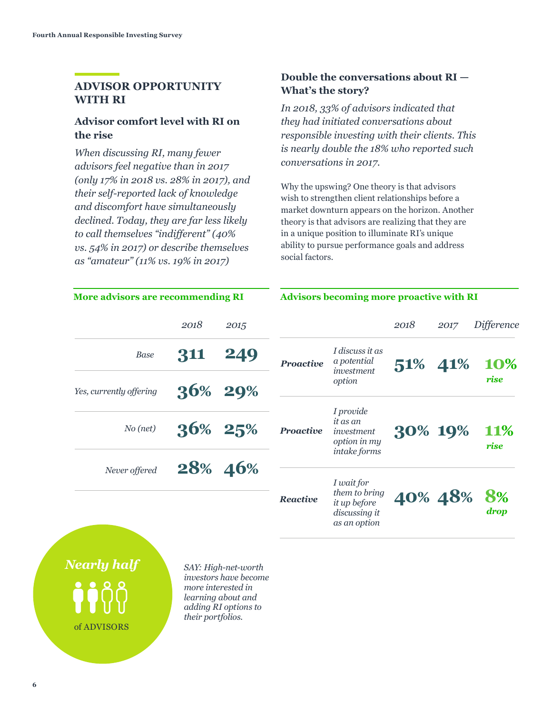#### **ADVISOR OPPORTUNITY WITH RI**

#### **Advisor comfort level with RI on the rise**

*When discussing RI, many fewer advisors feel negative than in 2017 (only 17% in 2018 vs. 28% in 2017), and their self-reported lack of knowledge and discomfort have simultaneously declined. Today, they are far less likely to call themselves "indifferent" (40% vs. 54% in 2017) or describe themselves as "amateur" (11% vs. 19% in 2017)*

#### **Double the conversations about RI — What's the story?**

*In 2018, 33% of advisors indicated that they had initiated conversations about responsible investing with their clients. This is nearly double the 18% who reported such conversations in 2017.* 

Why the upswing? One theory is that advisors wish to strengthen client relationships before a market downturn appears on the horizon. Another theory is that advisors are realizing that they are in a unique position to illuminate RI's unique ability to pursue performance goals and address social factors.

| <b>More advisors are recommending RI</b> |      | <b>Advisors becoming more proactive with RI</b> |                  |                                                                              |         |      |                    |
|------------------------------------------|------|-------------------------------------------------|------------------|------------------------------------------------------------------------------|---------|------|--------------------|
|                                          | 2018 | 2015                                            |                  |                                                                              | 2018    | 2017 | Difference         |
| <b>Base</b>                              | 311  | 249                                             | <b>Proactive</b> | I discuss it as<br>a potential<br>investment                                 | 51%     | 41%  | 10%                |
| Yes, currently offering                  |      | 36% 29%                                         |                  | option                                                                       |         |      | rise               |
| $No$ (net)                               |      | 36% 25%                                         | <b>Proactive</b> | I provide<br>it as an<br>investment<br>option in my                          | 30% 19% |      | <b>11%</b><br>rise |
| Never offered                            |      | 28% 46%                                         |                  | intake forms                                                                 |         |      |                    |
|                                          |      |                                                 | Reactive         | I wait for<br>them to bring<br>it up before<br>discussing it<br>as an option | 40% 48% |      | 8%<br>drop         |
|                                          |      |                                                 |                  |                                                                              |         |      |                    |

# *Nearly half*

of ADVISORS

*SAY: High-net-worth investors have become more interested in learning about and adding RI options to their portfolios.* 

#### **Advisors becoming more proactive with RI**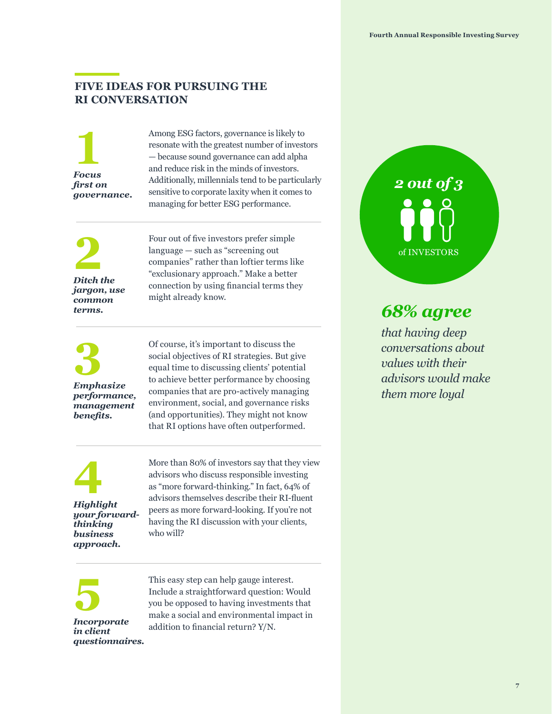#### **FIVE IDEAS FOR PURSUING THE RI CONVERSATION**

**1** *Focus first on governance.*

Among ESG factors, governance is likely to resonate with the greatest number of investors — because sound governance can add alpha and reduce risk in the minds of investors. Additionally, millennials tend to be particularly sensitive to corporate laxity when it comes to managing for better ESG performance.

**2** *Ditch the jargon, use common terms.*

Four out of five investors prefer simple language — such as "screening out companies" rather than loftier terms like "exclusionary approach." Make a better connection by using financial terms they might already know.

**3** *Emphasize performance, management benefits.*

Of course, it's important to discuss the social objectives of RI strategies. But give equal time to discussing clients' potential to achieve better performance by choosing companies that are pro-actively managing environment, social, and governance risks (and opportunities). They might not know that RI options have often outperformed.

**4** *Highlight your forwardthinking business approach.*

More than 80% of investors say that they view advisors who discuss responsible investing as "more forward-thinking." In fact, 64% of advisors themselves describe their RI-fluent peers as more forward-looking. If you're not having the RI discussion with your clients, who will?



This easy step can help gauge interest. Include a straightforward question: Would you be opposed to having investments that make a social and environmental impact in addition to financial return? Y/N.

*2 out of 3*  of INVESTORS

*that having deep conversations about values with their advisors would make them more loyal*